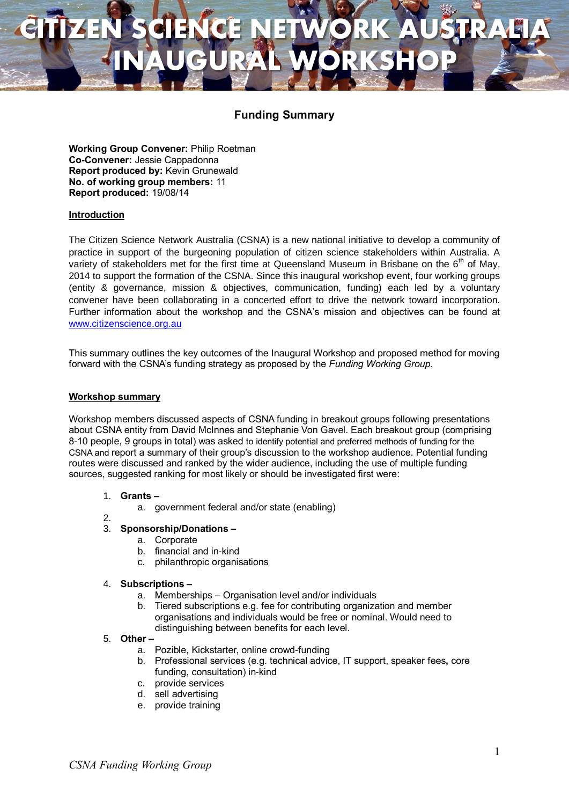# **CITIZEN SCIENCE NETWORK AUSTRALIA INAUGURAL WORKSHOP**

### **Funding Summary**

**Working Group Convener:** Philip Roetman **Co-Convener:** Jessie Cappadonna **Report produced by:** Kevin Grunewald **No. of working group members:** 11 **Report produced:** 19/08/14

### **Introduction**

The Citizen Science Network Australia (CSNA) is a new national initiative to develop a community of practice in support of the burgeoning population of citizen science stakeholders within Australia. A variety of stakeholders met for the first time at Queensland Museum in Brisbane on the  $6<sup>th</sup>$  of May, 2014 to support the formation of the CSNA. Since this inaugural workshop event, four working groups (entity & governance, mission & objectives, communication, funding) each led by a voluntary convener have been collaborating in a concerted effort to drive the network toward incorporation. Further information about the workshop and the CSNA's mission and objectives can be found at [www.citizenscience.org.au](http://www.citizenscience.org.au/)

This summary outlines the key outcomes of the Inaugural Workshop and proposed method for moving forward with the CSNA's funding strategy as proposed by the *Funding Working Group.*

### **Workshop summary**

Workshop members discussed aspects of CSNA funding in breakout groups following presentations about CSNA entity from David McInnes and Stephanie Von Gavel. Each breakout group (comprising 8-10 people, 9 groups in total) was asked to identify potential and preferred methods of funding for the CSNA and report a summary of their group's discussion to the workshop audience. Potential funding routes were discussed and ranked by the wider audience, including the use of multiple funding sources, suggested ranking for most likely or should be investigated first were:

### 1. **Grants –**

- a. government federal and/or state (enabling)
- 2.

### 3. **Sponsorship/Donations –**

- a. Corporate
- b. financial and in-kind
- c. philanthropic organisations

### 4. **Subscriptions –**

- a. Memberships Organisation level and/or individuals
- b. Tiered subscriptions e.g. fee for contributing organization and member organisations and individuals would be free or nominal. Would need to distinguishing between benefits for each level.
- 5. **Other –**
	- a. Pozible, Kickstarter, online crowd-funding
	- b. Professional services (e.g. technical advice, IT support, speaker fees**,** core funding, consultation) in-kind
	- c. provide services
	- d. sell advertising
	- e. provide training